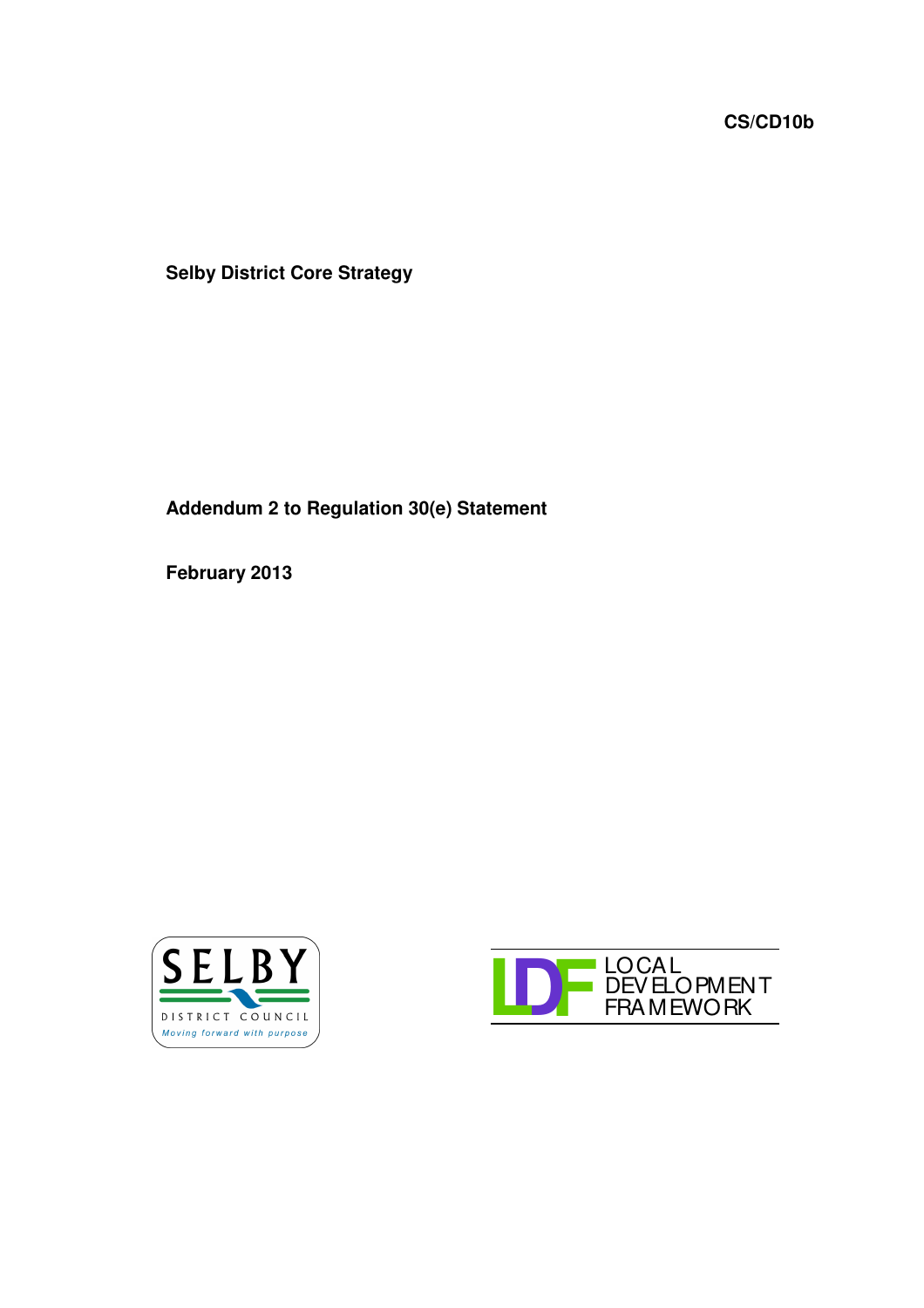**CS/CD10b**

**Selby District Core Strategy**

**Addendum 2 to Regulation 30(e) Statement**

**February 2013**



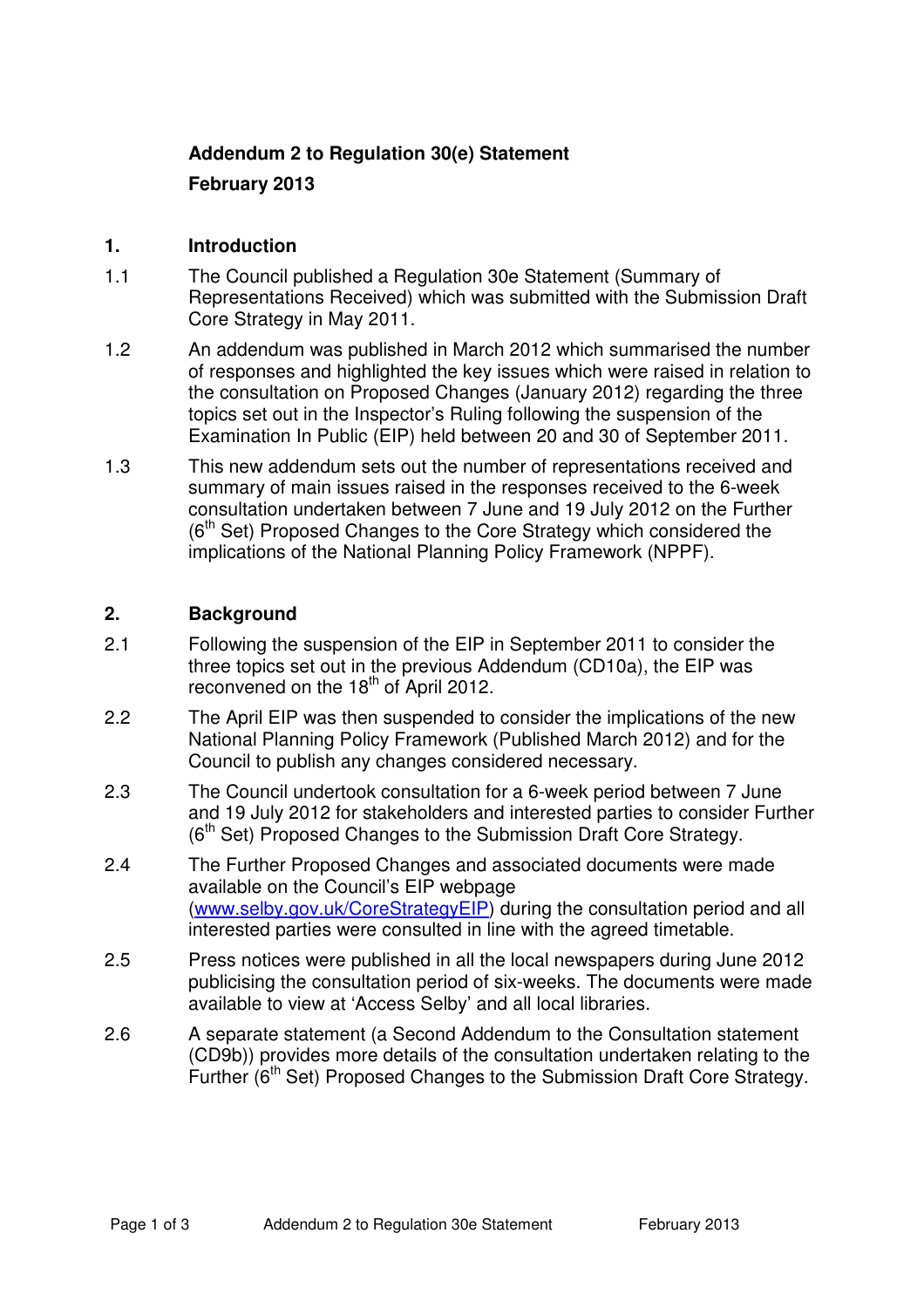## **Addendum 2 to Regulation 30(e) Statement**

## **February 2013**

#### **1. Introduction**

- 1.1 The Council published a Regulation 30e Statement (Summary of Representations Received) which was submitted with the Submission Draft Core Strategy in May 2011.
- 1.2 An addendum was published in March 2012 which summarised the number of responses and highlighted the key issues which were raised in relation to the consultation on Proposed Changes (January 2012) regarding the three topics set out in the Inspector's Ruling following the suspension of the Examination In Public (EIP) held between 20 and 30 of September 2011.
- 1.3 This new addendum sets out the number of representations received and summary of main issues raised in the responses received to the 6-week consultation undertaken between 7 June and 19 July 2012 on the Further (6<sup>th</sup> Set) Proposed Changes to the Core Strategy which considered the implications of the National Planning Policy Framework (NPPF).

### **2. Background**

- 2.1 Following the suspension of the EIP in September 2011 to consider the three topics set out in the previous Addendum (CD10a), the EIP was reconvened on the 18<sup>th</sup> of April 2012.
- 2.2 The April EIP was then suspended to consider the implications of the new National Planning Policy Framework (Published March 2012) and for the Council to publish any changes considered necessary.
- 2.3 The Council undertook consultation for a 6-week period between 7 June and 19 July 2012 for stakeholders and interested parties to consider Further (6<sup>th</sup> Set) Proposed Changes to the Submission Draft Core Strategy.
- 2.4 The Further Proposed Changes and associated documents were made available on the Council's EIP webpage (www.selby.gov.uk/CoreStrategyEIP) during the consultation period and all interested parties were consulted in line with the agreed timetable.
- 2.5 Press notices were published in all the local newspapers during June 2012 publicising the consultation period of six-weeks. The documents were made available to view at 'Access Selby' and all local libraries.
- 2.6 A separate statement (a Second Addendum to the Consultation statement (CD9b)) provides more details of the consultation undertaken relating to the Further (6<sup>th</sup> Set) Proposed Changes to the Submission Draft Core Strategy.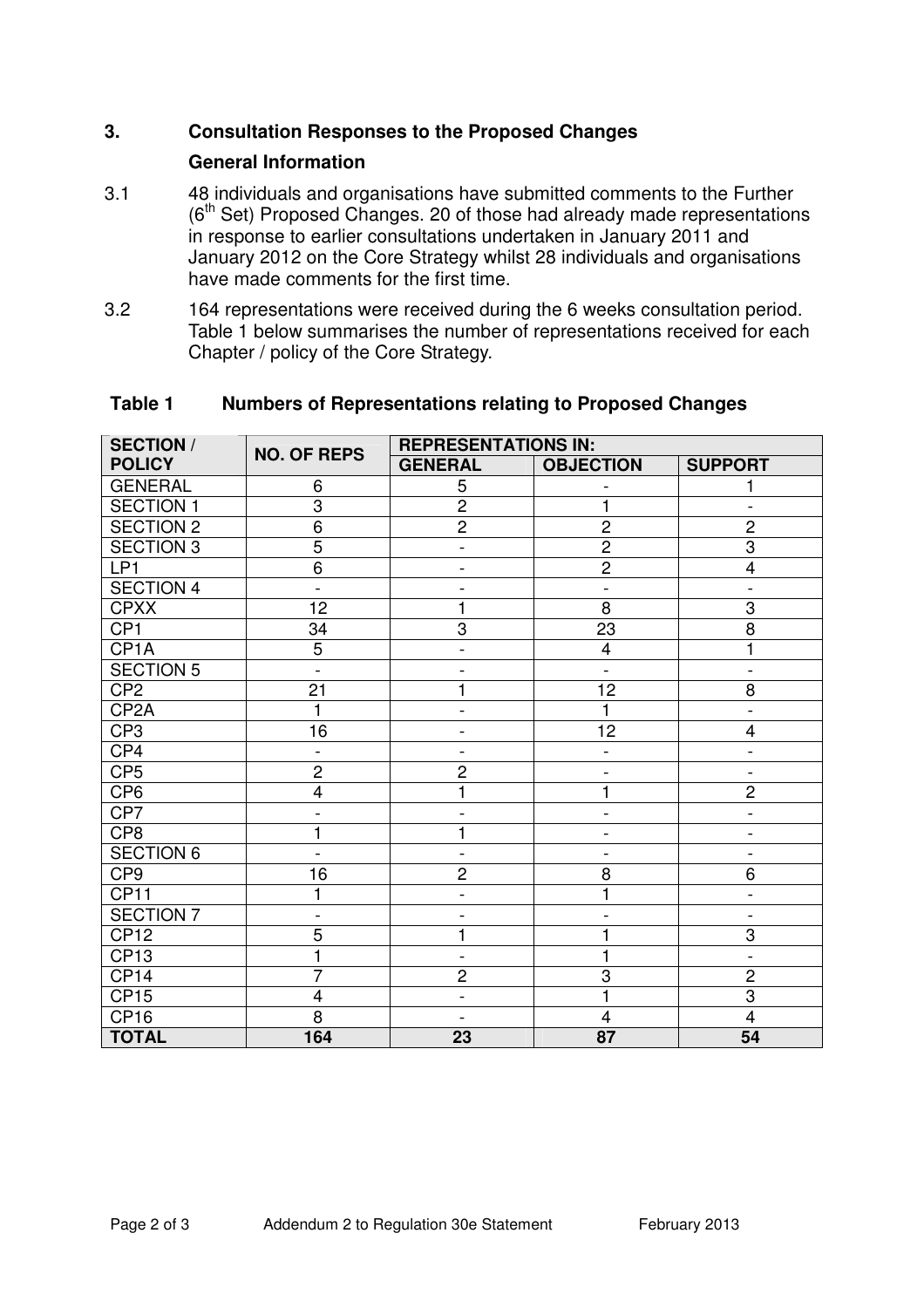# **3. Consultation Responses to the Proposed Changes**

### **General Information**

- 3.1 48 individuals and organisations have submitted comments to the Further (6<sup>th</sup> Set) Proposed Changes. 20 of those had already made representations in response to earlier consultations undertaken in January 2011 and January 2012 on the Core Strategy whilst 28 individuals and organisations have made comments for the first time.
- 3.2 164 representations were received during the 6 weeks consultation period. Table 1 below summarises the number of representations received for each Chapter / policy of the Core Strategy.

| <b>SECTION /</b>  | <b>NO. OF REPS</b>           | <b>REPRESENTATIONS IN:</b> |                              |                              |
|-------------------|------------------------------|----------------------------|------------------------------|------------------------------|
| <b>POLICY</b>     |                              | <b>GENERAL</b>             | <b>OBJECTION</b>             | <b>SUPPORT</b>               |
| <b>GENERAL</b>    | 6                            | 5                          |                              | 1                            |
| <b>SECTION 1</b>  | $\overline{3}$               | $\overline{2}$             | 1                            |                              |
| <b>SECTION 2</b>  | 6                            | $\overline{c}$             | $\overline{c}$               | $\overline{2}$               |
| <b>SECTION 3</b>  | $\overline{5}$               | $\overline{\phantom{0}}$   | $\overline{2}$               | $\overline{3}$               |
| LP1               | $\overline{6}$               | $\overline{\phantom{a}}$   | $\overline{2}$               | $\overline{\mathbf{4}}$      |
| <b>SECTION 4</b>  | $\overline{a}$               | $\overline{a}$             | $\overline{a}$               | $\overline{\phantom{0}}$     |
| <b>CPXX</b>       | 12                           | 1                          | 8                            | 3                            |
| CP <sub>1</sub>   | 34                           | 3                          | 23                           | $\overline{8}$               |
| CP <sub>1</sub> A | $\overline{5}$               | $\overline{a}$             | $\overline{4}$               | 1                            |
| <b>SECTION 5</b>  | $\overline{a}$               |                            | $\qquad \qquad \blacksquare$ | $\overline{\phantom{0}}$     |
| CP <sub>2</sub>   | 21                           | 1                          | 12                           | 8                            |
| CP <sub>2</sub> A | 1                            | $\overline{a}$             | $\mathbf{1}$                 | $\overline{a}$               |
| CP <sub>3</sub>   | 16                           | $\overline{\phantom{0}}$   | 12                           | 4                            |
| CP4               | $\overline{a}$               | $\overline{\phantom{a}}$   | $\blacksquare$               | $\overline{\phantom{a}}$     |
| CP <sub>5</sub>   | $\overline{c}$               | $\overline{c}$             | $\qquad \qquad \blacksquare$ | $\overline{\phantom{a}}$     |
| CP <sub>6</sub>   | 4                            |                            | 1                            | $\overline{2}$               |
| CP7               | $\qquad \qquad -$            |                            | $\qquad \qquad \blacksquare$ | $\overline{\phantom{0}}$     |
| CP8               | $\mathbf{1}$                 | 1                          | $\overline{a}$               | $\overline{\phantom{0}}$     |
| <b>SECTION 6</b>  | $\overline{\phantom{0}}$     | $\overline{\phantom{a}}$   | $\overline{a}$               | $\blacksquare$               |
| CP <sub>9</sub>   | 16                           | $\overline{2}$             | 8                            | 6                            |
| CP11              | 1                            | $\overline{a}$             | 1                            | $\overline{a}$               |
| <b>SECTION 7</b>  | $\qquad \qquad \blacksquare$ |                            |                              | $\qquad \qquad \blacksquare$ |
| CP12              | $\overline{5}$               | $\mathbf{1}$               | $\mathbf{1}$                 | $\overline{3}$               |
| CP <sub>13</sub>  | 1                            | $\overline{\phantom{a}}$   | 1                            | $\overline{\phantom{a}}$     |
| CP <sub>14</sub>  | $\overline{7}$               | $\overline{c}$             | 3                            | $\overline{c}$               |
| <b>CP15</b>       | $\overline{4}$               | $\overline{\phantom{a}}$   | $\mathbf{1}$                 | $\overline{3}$               |
| CP <sub>16</sub>  | $\overline{8}$               | $\blacksquare$             | $\overline{\mathbf{4}}$      | $\overline{4}$               |
| <b>TOTAL</b>      | 164                          | 23                         | 87                           | 54                           |

#### **Table 1 Numbers of Representations relating to Proposed Changes**